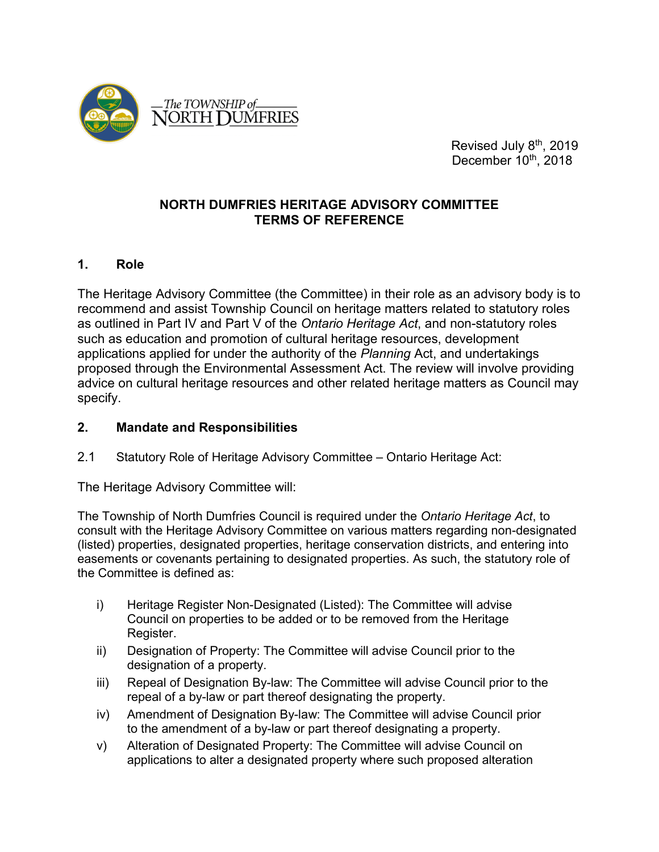

 Revised July 8th, 2019 December  $10<sup>th</sup>$ , 2018

### **NORTH DUMFRIES HERITAGE ADVISORY COMMITTEE TERMS OF REFERENCE**

## **1. Role**

The Heritage Advisory Committee (the Committee) in their role as an advisory body is to recommend and assist Township Council on heritage matters related to statutory roles as outlined in Part IV and Part V of the *Ontario Heritage Act*, and non-statutory roles such as education and promotion of cultural heritage resources, development applications applied for under the authority of the *Planning* Act, and undertakings proposed through the Environmental Assessment Act. The review will involve providing advice on cultural heritage resources and other related heritage matters as Council may specify.

### **2. Mandate and Responsibilities**

2.1 Statutory Role of Heritage Advisory Committee – Ontario Heritage Act:

The Heritage Advisory Committee will:

The Township of North Dumfries Council is required under the *Ontario Heritage Act*, to consult with the Heritage Advisory Committee on various matters regarding non-designated (listed) properties, designated properties, heritage conservation districts, and entering into easements or covenants pertaining to designated properties. As such, the statutory role of the Committee is defined as:

- i) Heritage Register Non-Designated (Listed): The Committee will advise Council on properties to be added or to be removed from the Heritage Register.
- ii) Designation of Property: The Committee will advise Council prior to the designation of a property.
- iii) Repeal of Designation By-law: The Committee will advise Council prior to the repeal of a by-law or part thereof designating the property.
- iv) Amendment of Designation By-law: The Committee will advise Council prior to the amendment of a by-law or part thereof designating a property.
- v) Alteration of Designated Property: The Committee will advise Council on applications to alter a designated property where such proposed alteration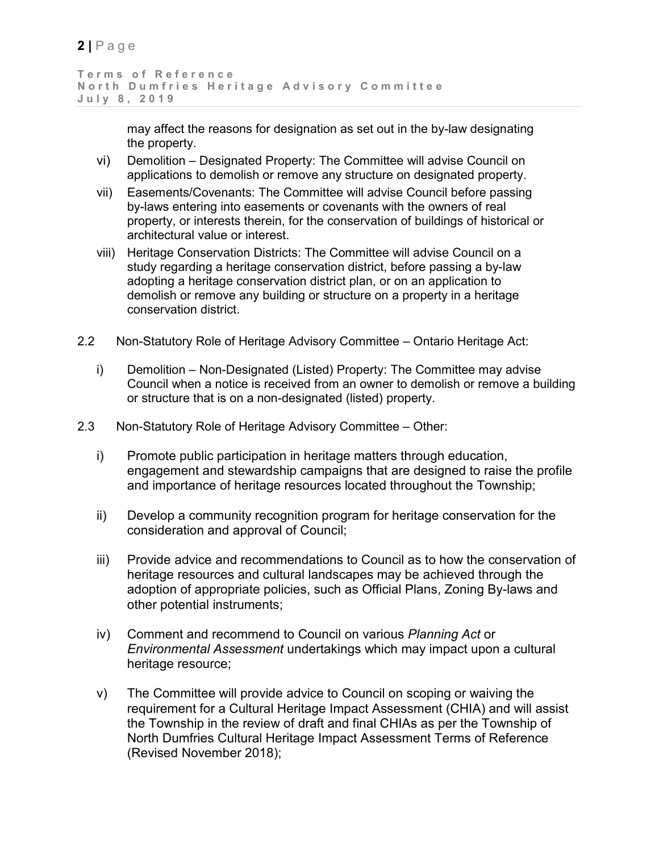```
Terms of Reference
North Dumfries Heritage Advisory Committee
July 8, 2019
```
may affect the reasons for designation as set out in the by-law designating the property.

- vi) Demolition Designated Property: The Committee will advise Council on applications to demolish or remove any structure on designated property.
- vii) Easements/Covenants: The Committee will advise Council before passing by-laws entering into easements or covenants with the owners of real property, or interests therein, for the conservation of buildings of historical or architectural value or interest.
- viii) Heritage Conservation Districts: The Committee will advise Council on a study regarding a heritage conservation district, before passing a by-law adopting a heritage conservation district plan, or on an application to demolish or remove any building or structure on a property in a heritage conservation district.
- 2.2 Non-Statutory Role of Heritage Advisory Committee Ontario Heritage Act:
	- i) Demolition Non-Designated (Listed) Property: The Committee may advise Council when a notice is received from an owner to demolish or remove a building or structure that is on a non-designated (listed) property.
- 2.3 Non-Statutory Role of Heritage Advisory Committee Other:
	- i) Promote public participation in heritage matters through education, engagement and stewardship campaigns that are designed to raise the profile and importance of heritage resources located throughout the Township;
	- ii) Develop a community recognition program for heritage conservation for the consideration and approval of Council;
	- iii) Provide advice and recommendations to Council as to how the conservation of heritage resources and cultural landscapes may be achieved through the adoption of appropriate policies, such as Official Plans, Zoning By-laws and other potential instruments;
	- iv) Comment and recommend to Council on various *Planning Act* or *Environmental Assessment* undertakings which may impact upon a cultural heritage resource;
	- v) The Committee will provide advice to Council on scoping or waiving the requirement for a Cultural Heritage Impact Assessment (CHIA) and will assist the Township in the review of draft and final CHIAs as per the Township of North Dumfries Cultural Heritage Impact Assessment Terms of Reference (Revised November 2018);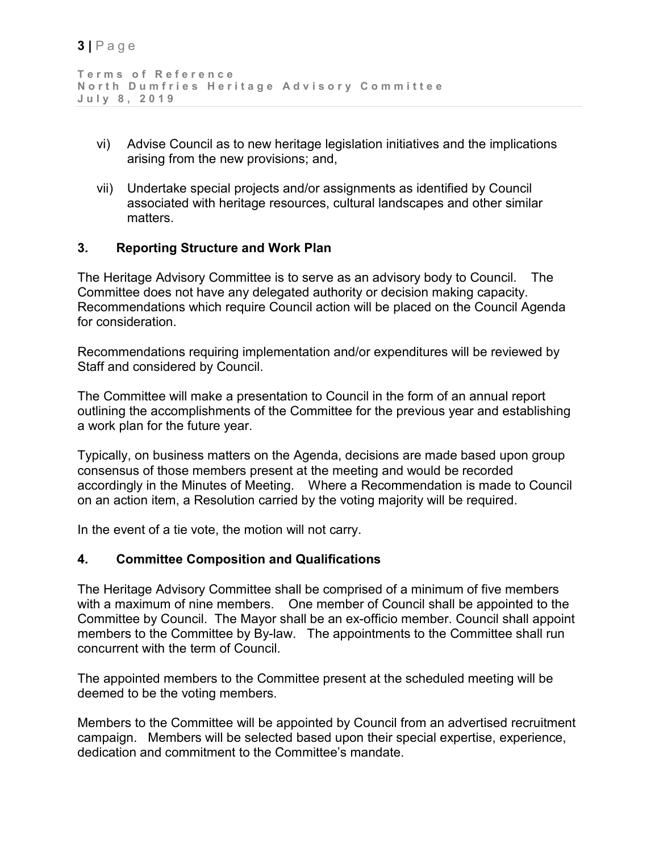```
Terms of Reference
North Dumfries Heritage Advisory Committee
July 8, 2019
```
- vi) Advise Council as to new heritage legislation initiatives and the implications arising from the new provisions; and,
- vii) Undertake special projects and/or assignments as identified by Council associated with heritage resources, cultural landscapes and other similar matters.

## **3. Reporting Structure and Work Plan**

The Heritage Advisory Committee is to serve as an advisory body to Council. The Committee does not have any delegated authority or decision making capacity. Recommendations which require Council action will be placed on the Council Agenda for consideration.

Recommendations requiring implementation and/or expenditures will be reviewed by Staff and considered by Council.

The Committee will make a presentation to Council in the form of an annual report outlining the accomplishments of the Committee for the previous year and establishing a work plan for the future year.

Typically, on business matters on the Agenda, decisions are made based upon group consensus of those members present at the meeting and would be recorded accordingly in the Minutes of Meeting. Where a Recommendation is made to Council on an action item, a Resolution carried by the voting majority will be required.

In the event of a tie vote, the motion will not carry.

### **4. Committee Composition and Qualifications**

The Heritage Advisory Committee shall be comprised of a minimum of five members with a maximum of nine members. One member of Council shall be appointed to the Committee by Council. The Mayor shall be an ex-officio member. Council shall appoint members to the Committee by By-law. The appointments to the Committee shall run concurrent with the term of Council.

The appointed members to the Committee present at the scheduled meeting will be deemed to be the voting members.

Members to the Committee will be appointed by Council from an advertised recruitment campaign. Members will be selected based upon their special expertise, experience, dedication and commitment to the Committee's mandate.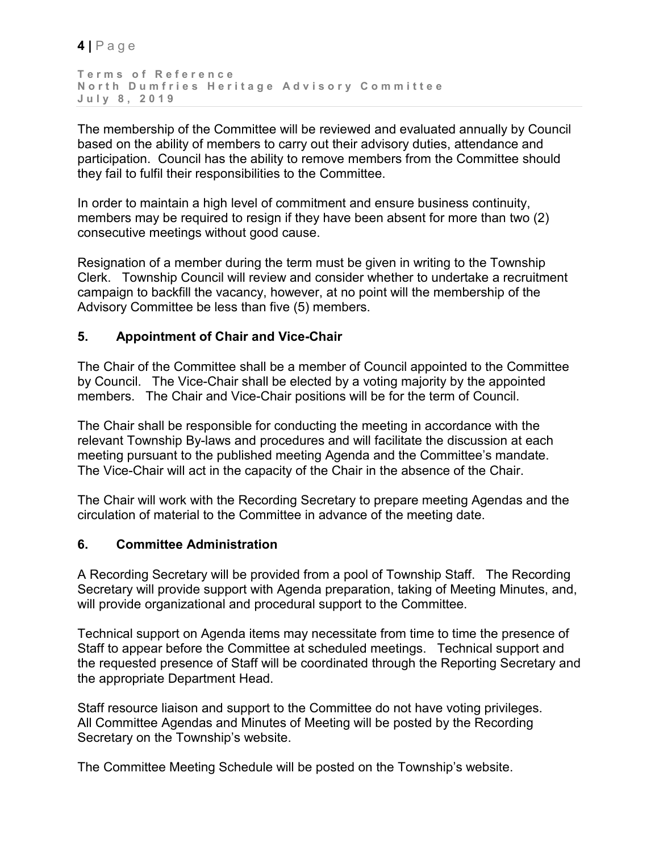**4 |** Page

```
Terms of Reference
North Dumfries Heritage Advisory Committee
July 8, 2019
```
The membership of the Committee will be reviewed and evaluated annually by Council based on the ability of members to carry out their advisory duties, attendance and participation. Council has the ability to remove members from the Committee should they fail to fulfil their responsibilities to the Committee.

In order to maintain a high level of commitment and ensure business continuity, members may be required to resign if they have been absent for more than two (2) consecutive meetings without good cause.

Resignation of a member during the term must be given in writing to the Township Clerk. Township Council will review and consider whether to undertake a recruitment campaign to backfill the vacancy, however, at no point will the membership of the Advisory Committee be less than five (5) members.

## **5. Appointment of Chair and Vice-Chair**

The Chair of the Committee shall be a member of Council appointed to the Committee by Council. The Vice-Chair shall be elected by a voting majority by the appointed members. The Chair and Vice-Chair positions will be for the term of Council.

The Chair shall be responsible for conducting the meeting in accordance with the relevant Township By-laws and procedures and will facilitate the discussion at each meeting pursuant to the published meeting Agenda and the Committee's mandate. The Vice-Chair will act in the capacity of the Chair in the absence of the Chair.

The Chair will work with the Recording Secretary to prepare meeting Agendas and the circulation of material to the Committee in advance of the meeting date.

### **6. Committee Administration**

A Recording Secretary will be provided from a pool of Township Staff. The Recording Secretary will provide support with Agenda preparation, taking of Meeting Minutes, and, will provide organizational and procedural support to the Committee.

Technical support on Agenda items may necessitate from time to time the presence of Staff to appear before the Committee at scheduled meetings. Technical support and the requested presence of Staff will be coordinated through the Reporting Secretary and the appropriate Department Head.

Staff resource liaison and support to the Committee do not have voting privileges. All Committee Agendas and Minutes of Meeting will be posted by the Recording Secretary on the Township's website.

The Committee Meeting Schedule will be posted on the Township's website.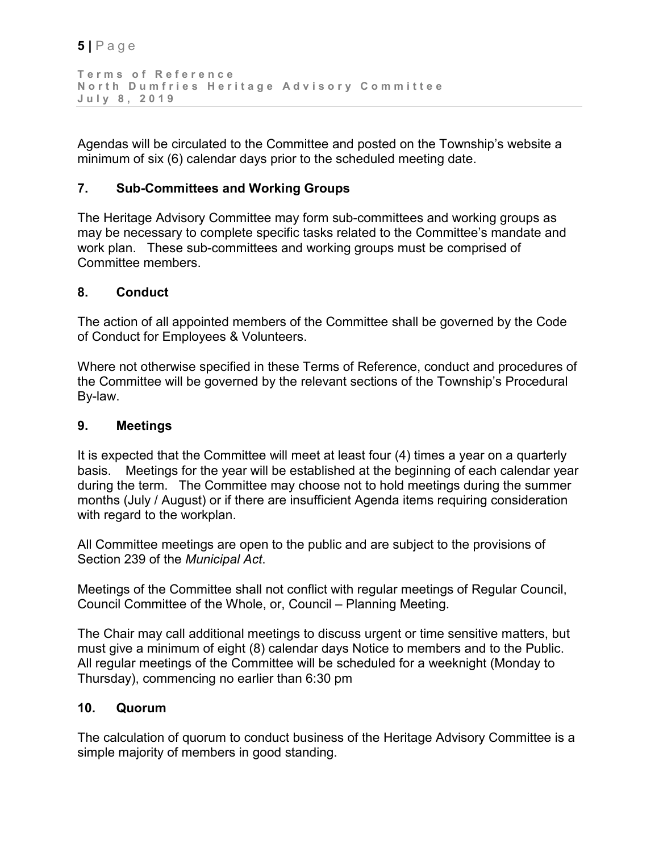```
Terms of Reference
North Dumfries Heritage Advisory Committee
July 8, 2019
```
Agendas will be circulated to the Committee and posted on the Township's website a minimum of six (6) calendar days prior to the scheduled meeting date.

# **7. Sub-Committees and Working Groups**

The Heritage Advisory Committee may form sub-committees and working groups as may be necessary to complete specific tasks related to the Committee's mandate and work plan. These sub-committees and working groups must be comprised of Committee members.

## **8. Conduct**

The action of all appointed members of the Committee shall be governed by the Code of Conduct for Employees & Volunteers.

Where not otherwise specified in these Terms of Reference, conduct and procedures of the Committee will be governed by the relevant sections of the Township's Procedural By-law.

# **9. Meetings**

It is expected that the Committee will meet at least four (4) times a year on a quarterly basis. Meetings for the year will be established at the beginning of each calendar year during the term. The Committee may choose not to hold meetings during the summer months (July / August) or if there are insufficient Agenda items requiring consideration with regard to the workplan.

All Committee meetings are open to the public and are subject to the provisions of Section 239 of the *Municipal Act*.

Meetings of the Committee shall not conflict with regular meetings of Regular Council, Council Committee of the Whole, or, Council – Planning Meeting.

The Chair may call additional meetings to discuss urgent or time sensitive matters, but must give a minimum of eight (8) calendar days Notice to members and to the Public. All regular meetings of the Committee will be scheduled for a weeknight (Monday to Thursday), commencing no earlier than 6:30 pm

## **10. Quorum**

The calculation of quorum to conduct business of the Heritage Advisory Committee is a simple majority of members in good standing.